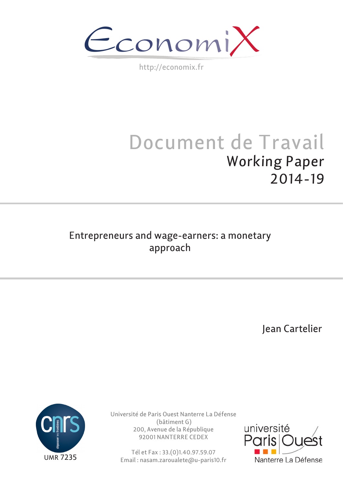Economi

http://economix.fr

# Document de Travail Working Paper 2014-19

# Entrepreneurs and wage-earners: a monetary approach

Jean Cartelier



Université de Paris Ouest Nanterre La Défense (bâtiment G) 200, Avenue de la République 92001 NANTERRE CEDEX

Tél et Fax : 33.(0)1.40.97.59.07 Email : nasam.zaroualete@u-paris10.fr

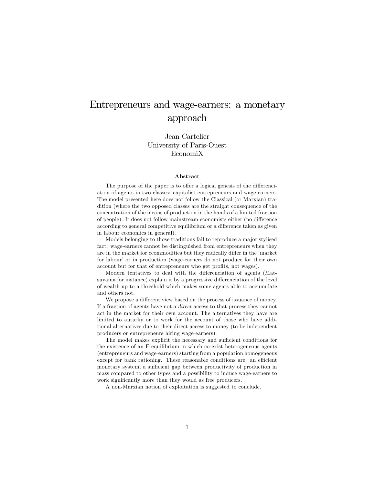# Entrepreneurs and wage-earners: a monetary approach

Jean Cartelier University of Paris-Ouest EconomiX

#### Abstract

The purpose of the paper is to offer a logical genesis of the differenciation of agents in two classes: capitalist entrepreneurs and wage-earners. The model presented here does not follow the Classical (or Marxian) tradition (where the two opposed classes are the straight consequence of the concentration of the means of production in the hands of a limited fraction of people). It does not follow mainstream economists either (no difference according to general competitive equilibrium or a difference taken as given in labour economics in general).

Models belonging to those traditions fail to reproduce a major stylised fact: wage-earners cannot be distinguished from entrepreneurs when they are in the market for ccommodities but they radically differ in the 'market for labour' or in production (wage-earners do not produce for their own account but for that of entrepreneurs who get profits, not wages).

Modern tentatives to deal with the differenciation of agents (Matsuyama for instance) explain it by a progressive differenciation of the level of wealth up to a threshold which makes some agents able to accumulate and others not.

We propose a different view based on the process of issuance of money. If a fraction of agents have not a direct access to that process they cannot act in the market for their own account. The alternatives they have are limited to autarky or to work for the account of those who have additional alternatives due to their direct access to money (to be independent producers or entrepreneurs hiring wage-earners).

The model makes explicit the necessary and sufficient conditions for the existence of an E-equilibrium in which co-exist heterogeneous agents (entrepreneurs and wage-earners) starting from a population homogeneous except for bank rationing. These reasonable conditions are: an efficient monetary system, a sufficient gap between productivity of production in mass compared to other types and a possibility to induce wage-earners to work significantly more than they would as free producers.

A non-Marxian notion of exploitation is suggested to conclude.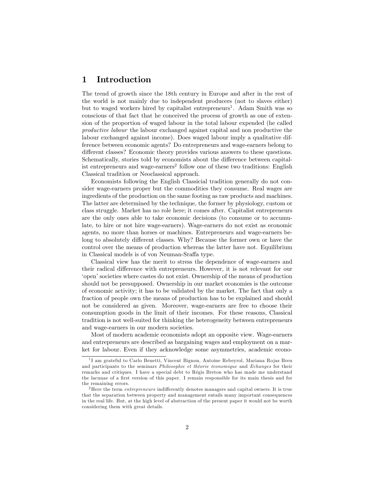# 1 Introduction

The trend of growth since the 18th century in Europe and after in the rest of the world is not mainly due to independent producers (not to slaves either) but to waged workers hired by capitalist entrepreneurs<sup>1</sup>. Adam Smith was so conscious of that fact that he conceived the process of growth as one of extension of the proportion of waged labour in the total labour expended (he called productive labour the labour exchanged against capital and non productive the labour exchanged against income). Does waged labour imply a qualitative difference between economic agents? Do entrepreneurs and wage-earners belong to different classes? Economic theory provides various answers to these questions. Schematically, stories told by economists about the difference between capitalist entrepreneurs and wage-earners<sup>2</sup> follow one of these two traditions: English Classical tradition or Neoclassical approach.

Economists following the English Classicial tradition generally do not consider wage-earners proper but the commodities they consume. Real wages are ingredients of the production on the same footing as raw products and machines. The latter are determined by the technique, the former by physiology, custom or class struggle. Market has no role here; it comes after. Capitalist entrepreneurs are the only ones able to take economic decisions (to consume or to accumulate, to hire or not hire wage-earners). Wage-earners do not exist as economic agents, no more than horses or machines. Entrepreneurs and wage-earners belong to absolutely different classes. Why? Because the former own or have the control over the means of production whereas the latter have not. Equilibrium in Classical models is of von Neuman-Sraffa type.

Classical view has the merit to stress the dependence of wage-earners and their radical difference with entrepreneurs. However, it is not relevant for our ëopenísocieties where castes do not exist. Ownership of the means of production should not be presupposed. Ownership in our market economies is the outcome of economic activity; it has to be validated by the market. The fact that only a fraction of people own the means of production has to be explained and should not be considered as given. Moreover, wage-earners are free to choose their consumption goods in the limit of their incomes. For these reasons, Classical tradition is not well-suited for thinking the heterogeneity between entrepreneurs and wage-earners in our modern societies.

Most of modern academic economists adopt an opposite view. Wage-earners and entrepreneurs are described as bargaining wages and employment on a market for labour. Even if they acknowledge some asymmetries, academic econo-

<sup>&</sup>lt;sup>1</sup>I am grateful to Carlo Benetti, Vincent Bignon, Antoine Rebeyrol, Mariana Rojas Breu and participants to the seminars *Philosophie et théorie économique* and *Echanges* for their remarks and critiques. I have a special debt to Régis Breton who has made me understand the lacunae of a first version of this paper. I remain responsible for its main thesis and for the remaining errors.

 $2$ Here the term *entrepreneurs* indifferently denotes managers and capital owners. It is true that the separation between property and management entails many important consequences in the real life. But, at the high level of abstraction of the present paper it would not be worth considering them with great details.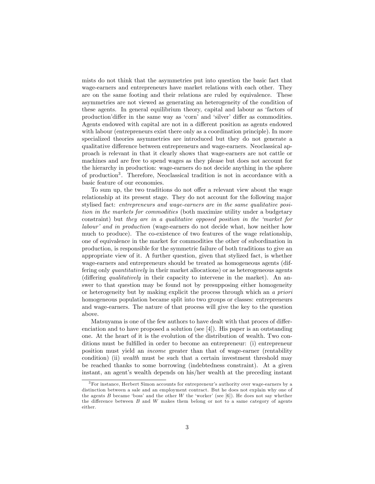mists do not think that the asymmetries put into question the basic fact that wage-earners and entrepreneurs have market relations with each other. They are on the same footing and their relations are ruled by equivalence. These asymmetries are not viewed as generating an heterogeneity of the condition of these agents. In general equilibrium theory, capital and labour as ëfactors of production'differ in the same way as 'corn' and 'silver' differ as commodities. Agents endowed with capital are not in a different position as agents endowed with labour (entrepreneurs exist there only as a coordination principle). In more specialized theories asymmetries are introduced but they do not generate a qualitative difference between entrepreneurs and wage-earners. Neoclassical approach is relevant in that it clearly shows that wage-earners are not cattle or machines and are free to spend wages as they please but does not account for the hierarchy in production: wage-earners do not decide anything in the sphere of production<sup>3</sup> . Therefore, Neoclassical tradition is not in accordance with a basic feature of our economies.

To sum up, the two traditions do not offer a relevant view about the wage relationship at its present stage. They do not account for the following major stylised fact: entrepreneurs and wage-earners are in the same qualitative position in the markets for commodities (both maximize utility under a budgetary constraint) but they are in a qualitative opposed position in the 'market for labour' and in production (wage-earners do not decide what, how neither how much to produce). The co-existence of two features of the wage relationship, one of equivalence in the market for commodities the other of subordination in production, is responsible for the symmetric failure of both traditions to give an appropriate view of it. A further question, given that stylized fact, is whether wage-earners and entrepreneurs should be treated as homogeneous agents (differing only quantitatively in their market allocations) or as heterogeneous agents (differing qualitatively in their capacity to intervene in the market). An answer to that question may be found not by presupposing either homogeneity or heterogeneity but by making explicit the process through which an a priori homogeneous population became split into two groups or classes: entrepreneurs and wage-earners. The nature of that process will give the key to the question above.

Matsuyama is one of the few authors to have dealt with that proces of differenciation and to have proposed a solution (see [4]). His paper is an outstanding one. At the heart of it is the evolution of the distribution of wealth. Two conditions must be fulfilled in order to become an entrepreneur: (i) entrepreneur position must yield an income greater than that of wage-earner (rentability condition) (ii) wealth must be such that a certain investment threshold may be reached thanks to some borrowing (indebtedness constraint). At a given instant, an agent's wealth depends on his/her wealth at the preceding instant

<sup>&</sup>lt;sup>3</sup>For instance, Herbert Simon accounts for entrepreneur's authority over wage-earners by a distinction between a sale and an employment contract. But he does not explain why one of the agents  $B$  became 'boss' and the other  $W$  the 'worker' (see [6]). He does not say whether the difference between  $B$  and  $W$  makes them belong or not to a same category of agents either.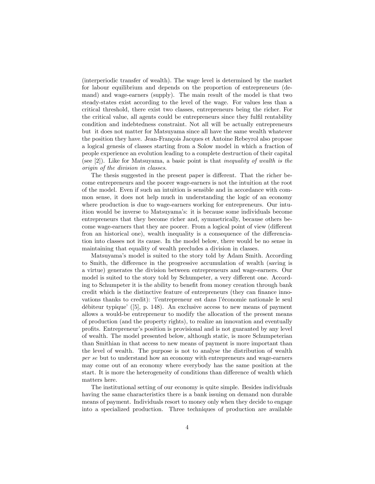(interperiodic transfer of wealth). The wage level is determined by the market for labour equilibrium and depends on the proportion of entrepreneurs (demand) and wage-earners (supply). The main result of the model is that two steady-states exist according to the level of the wage. For values less than a critical threshold, there exist two classes, entrepreneurs being the richer. For the critical value, all agents could be entrepreneurs since they fulfil rentability condition and indebtedness constraint. Not all will be actually entrepreneurs but it does not matter for Matsuyama since all have the same wealth whatever the position they have. Jean-François Jacques et Antoine Rebeyrol also propose a logical genesis of classes starting from a Solow model in which a fraction of people experience an evolution leading to a complete destruction of their capital (see  $[2]$ ). Like for Matsuyama, a basic point is that *inequality of wealth is the* origin of the division in classes.

The thesis suggested in the present paper is different. That the richer become entrepreneurs and the poorer wage-earners is not the intuition at the root of the model. Even if such an intuition is sensible and in accordance with common sense, it does not help much in understanding the logic of an economy where production is due to wage-earners working for entrepreneurs. Our intuition would be inverse to Matsuyama's: it is because some individuals become entrepreneurs that they become richer and, symmetrically, because others become wage-earners that they are poorer. From a logical point of view (different fron an historical one), wealth inequality is a consequence of the differenciation into classes not its cause. In the model below, there would be no sense in maintaining that equality of wealth precludes a division in classes.

Matsuyama's model is suited to the story told by Adam Smith. According to Smith, the difference in the progressive accumulation of wealth (saving is a virtue) generates the division between entrepreneurs and wage-earners. Our model is suited to the story told by Schumpeter, a very different one. According to Schumpeter it is the ability to benefit from money creation through bank credit which is the distinctive feature of entrepreneurs (they can finance innovations thanks to credit): Tentrepreneur est dans l'économie nationale le seul débiteur typique<sup> $\ell$ </sup> ([5], p. 148). An exclusive access to new means of payment allows a would-be entrepreneur to modify the allocation of the present means of production (and the property rights), to realize an innovation and eventually proÖts. Entrepreneurís position is provisional and is not guaranted by any level of wealth. The model presented below, although static, is more Schumpeterian than Smithian in that access to new means of payment is more important than the level of wealth. The purpose is not to analyse the distribution of wealth per se but to understand how an economy with entrepreneurs and wage-earners may come out of an economy where everybody has the same position at the start. It is more the heterogeneity of conditions than difference of wealth which matters here.

The institutional setting of our economy is quite simple. Besides individuals having the same characteristics there is a bank issuing on demand non durable means of payment. Individuals resort to money only when they decide to engage into a specialized production. Three techniques of production are available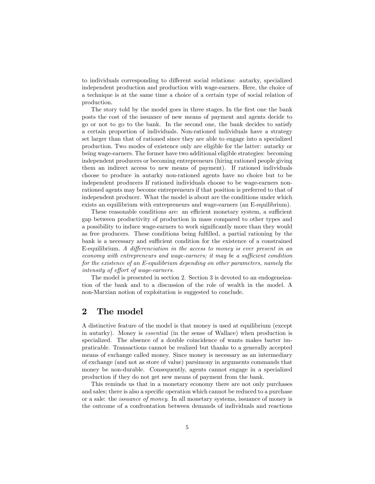to individuals corresponding to different social relations: autarky, specialized independent production and production with wage-earners. Here, the choice of a technique is at the same time a choice of a certain type of social relation of production.

The story told by the model goes in three stages. In the first one the bank posts the cost of the issuance of new means of payment and agents decide to go or not to go to the bank. In the second one, the bank decides to satisfy a certain proportion of individuals. Non-rationed individuals have a strategy set larger than that of rationed since they are able to engage into a specialized production. Two modes of existence only are eligible for the latter: autarky or being wage-earners. The former have two additional eligible strategies: becoming independent producers or becoming entrepreneurs (hiring rationed people giving them an indirect access to new means of payment). If rationed individuals choose to produce in autarky non-rationed agents have no choice but to be independent producers If rationed individuals choose to be wage-earners nonrationed agents may become entrepreneurs if that position is preferred to that of independent producer. What the model is about are the conditions under which exists an equilibrium with entrepreneurs and wage-earners (an E-equilibrium).

These reasonable conditions are: an efficient monetary system, a sufficient gap between productivity of production in mass compared to other types and a possibility to induce wage-earners to work significantly more than they would as free producers. These conditions being fulfilled, a partial rationing by the bank is a necessary and sufficient condition for the existence of a constrained E-equilibrium. A differenciation in the access to money is ever present in an economy with entrepreneurs and wage-earners; it may be a sufficient condition for the existence of an E-equilibrium depending on other parameters, namely the intensity of effort of wage-earners.

The model is presented in section 2. Section 3 is devoted to an endogeneization of the bank and to a discussion of the role of wealth in the model. A non-Marxian notion of exploitation is suggested to conclude.

### 2 The model

A distinctive feature of the model is that money is used at equilibrium (except in autarky). Money is essential (in the sense of Wallace) when production is specialized. The absence of a double coincidence of wants makes barter impraticable. Transactions cannot be realized but thanks to a generally accepted means of exchange called money. Since money is necessary as an intermediary of exchange (and not as store of value) parsimony in arguments commands that money be non-durable. Consequently, agents cannot engage in a specialized production if they do not get new means of payment from the bank.

This reminds us that in a monetary economy there are not only purchases and sales; there is also a specific operation which cannot be reduced to a purchase or a sale: the issuance of money. In all monetary systems, issuance of money is the outcome of a confrontation between demands of individuals and reactions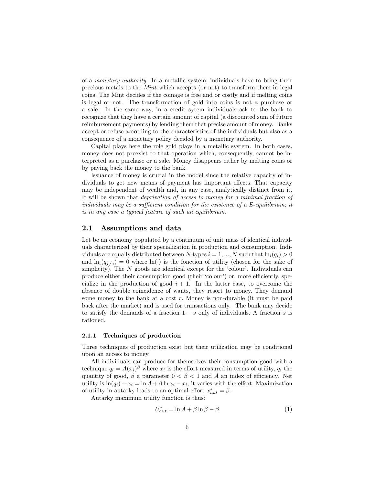of a monetary authority. In a metallic system, individuals have to bring their precious metals to the Mint which accepts (or not) to transform them in legal coins. The Mint decides if the coinage is free and or costly and if melting coins is legal or not. The transformation of gold into coins is not a purchase or a sale. In the same way, in a credit sytem individuals ask to the bank to recognize that they have a certain amount of capital (a discounted sum of future reimbursement payments) by lending them that precise amount of money. Banks accept or refuse according to the characteristics of the individuals but also as a consequence of a monetary policy decided by a monetary authority.

Capital plays here the role gold plays in a metallic system. In both cases, money does not preexist to that operation which, consequently, cannot be interpreted as a purchase or a sale. Money disappears either by melting coins or by paying back the money to the bank.

Issuance of money is crucial in the model since the relative capacity of individuals to get new means of payment has important effects. That capacity may be independent of wealth and, in any case, analytically distinct from it. It will be shown that deprivation of access to money for a minimal fraction of individuals may be a sufficient condition for the existence of a  $E$ -equilibrium; it is in any case a typical feature of such an equilibrium.

#### 2.1 Assumptions and data

Let be an economy populated by a continuum of unit mass of identical individuals characterized by their specialization in production and consumption. Individuals are equally distributed between N types  $i = 1, ..., N$  such that  $\ln_i(q_i) > 0$ and  $\ln_i(q_{j\neq i})=0$  where  $\ln(\cdot)$  is the fonction of utility (chosen for the sake of simplicity). The  $N$  goods are identical except for the 'colour'. Individuals can produce either their consumption good (their 'colour') or, more efficiently, specialize in the production of good  $i + 1$ . In the latter case, to overcome the absence of double coincidence of wants, they resort to money. They demand some money to the bank at a cost  $r$ . Money is non-durable (it must be paid back after the market) and is used for transactions only. The bank may decide to satisfy the demands of a fraction  $1 - s$  only of individuals. A fraction s is rationed.

#### 2.1.1 Techniques of production

Three techniques of production exist but their utilization may be conditional upon an access to money.

All individuals can produce for themselves their consumption good with a technique  $q_i = A(x_i)^\beta$  where  $x_i$  is the effort measured in terms of utility,  $q_i$  the quantity of good,  $\beta$  a parameter  $0 < \beta < 1$  and A an index of efficiency. Net utility is  $\ln(q_i) - x_i = \ln A + \beta \ln x_i - x_i$ ; it varies with the effort. Maximization of utility in autarky leads to an optimal effort  $x^*_{aut} = \beta$ .

Autarky maximum utility function is thus:

$$
U_{aut}^* = \ln A + \beta \ln \beta - \beta \tag{1}
$$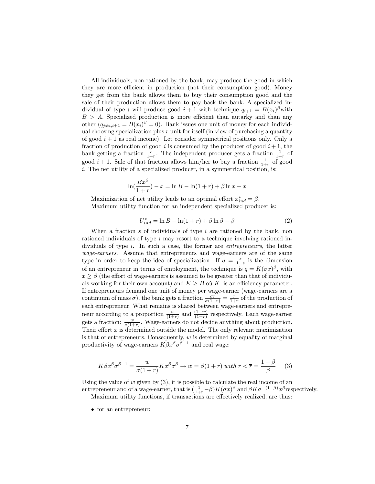All individuals, non-rationed by the bank, may produce the good in which they are more efficient in production (not their consumption good). Money they get from the bank allows them to buy their consumption good and the sale of their production allows them to pay back the bank. A specialized individual of type *i* will produce good  $i + 1$  with technique  $q_{i+1} = B(x_i)^{\beta}$  with  $B > A$ . Specialized production is more efficient than autarky and than any other  $(q_{j\neq i,i+1} = B(x_i)^{\beta} = 0)$ . Bank issues one unit of money for each individual choosing specialization plus  $r$  unit for itself (in view of purchasing a quantity of good  $i+1$  as real income). Let consider symmetrical positions only. Only a fraction of production of good i is consumed by the producer of good  $i + 1$ , the bank getting a fraction  $\frac{r}{1+r}$ . The independent producer gets a fraction  $\frac{1}{1+r}$  of good  $i + 1$ . Sale of that fraction allows him/her to buy a fraction  $\frac{1}{1+r}$  of good  $i.$  The net utility of a specialized producer, in a symmetrical position, is:

$$
\ln(\frac{Bx^{\beta}}{1+r}) - x = \ln B - \ln(1+r) + \beta \ln x - x
$$

Maximization of net utility leads to an optimal effort  $x_{ind}^* = \beta$ . Maximum utility function for an independent specialized producer is:

$$
U_{ind}^* = \ln B - \ln(1+r) + \beta \ln \beta - \beta \tag{2}
$$

When a fraction  $s$  of individuals of type  $i$  are rationed by the bank, non rationed individuals of type  $i$  may resort to a technique involving rationed individuals of type i. In such a case, the former are entrepreneurs, the latter wage-earners. Assume that entrepreneurs and wage-earners are of the same type in order to keep the idea of specialization. If  $\sigma = \frac{s}{1-s}$  is the dimension of an entrepreneur in terms of employment, the technique is  $q = K(\sigma x)^{\beta}$ , with  $x \ge \beta$  (the effort of wage-earners is assumed to be greater than that of individuals working for their own account) and  $K \geq B$  où K is an efficiency parameter. If entrepreneurs demand one unit of money per wage-earner (wage-earners are a continuum of mass  $\sigma$ ), the bank gets a fraction  $\frac{\sigma r}{\sigma(1+r)} = \frac{r}{1+r}$  of the production of each entrepreneur. What remains is shared between wage-earners and entrepreneur according to a proportion  $\frac{w}{(1+r)}$  and  $\frac{(1-w)}{(1+r)}$  respectively. Each wage-earner gets a fraction:  $\frac{w}{\sigma(1+r)}$ . Wage-earners do not decide anything about production. Their effort  $x$  is determined outside the model. The only relevant maximization is that of entrepreneurs. Consequently,  $w$  is determined by equality of marginal productivity of wage-earners  $K\beta x^{\beta}\sigma^{\beta-1}$  and real wage:

$$
K\beta x^{\beta} \sigma^{\beta - 1} = \frac{w}{\sigma(1 + r)} K x^{\beta} \sigma^{\beta} \to w = \beta(1 + r) \text{ with } r < \overline{r} = \frac{1 - \beta}{\beta} \tag{3}
$$

Using the value of  $w$  given by  $(3)$ , it is possible to calculate the real income of an entrepreneur and of a wage-earner, that is  $\left(\frac{1}{1+r}-\beta\right)K(\sigma x)^{\beta}$  and  $\beta K\sigma^{-(1-\beta)}x^{\beta}$  respectively.

Maximum utility functions, if transactions are effectively realized, are thus:

for an entrepreneur: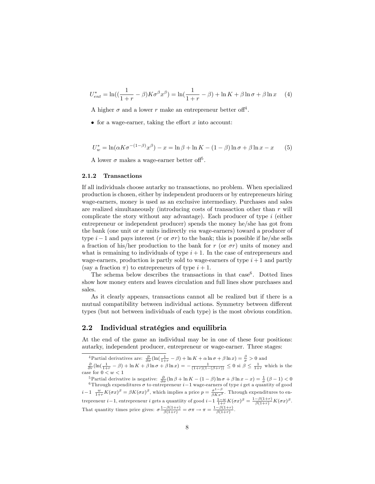$$
U_{ent}^* = \ln\left(\left(\frac{1}{1+r} - \beta\right)K\sigma^{\beta}x^{\beta}\right) = \ln\left(\frac{1}{1+r} - \beta\right) + \ln K + \beta \ln \sigma + \beta \ln x \tag{4}
$$

A higher  $\sigma$  and a lower r make an entrepreneur better of  $f^4$ .

• for a wage-earner, taking the effort  $x$  into account:

$$
U_w^* = \ln(\alpha K \sigma^{-(1-\beta)} x^{\beta}) - x = \ln \beta + \ln K - (1-\beta) \ln \sigma + \beta \ln x - x \tag{5}
$$

A lower  $\sigma$  makes a wage-earner better off<sup>5</sup>.

#### 2.1.2 Transactions

If all individuals choose autarky no transactions, no problem. When specialized production is chosen, either by independent producers or by entrepreneurs hiring wage-earners, money is used as an exclusive intermediary. Purchases and sales are realized simultaneously (introducing costs of transaction other than  $r$  will complicate the story without any advantage). Each producer of type  $i$  (either entrepreneur or independent producer) spends the money he/she has got from the bank (one unit or  $\sigma$  units indirectly *via* wage-earners) toward a producer of type  $i-1$  and pays interest (r or  $\sigma r$ ) to the bank; this is possible if he/she sells a fraction of his/her production to the bank for r (or  $\sigma r$ ) units of money and what is remaining to individuals of type  $i + 1$ . In the case of entrepreneurs and wage-earners, production is partly sold to wage-earners of type  $i+1$  and partly (say a fraction  $\pi$ ) to entrepreneurs of type  $i + 1$ .

The schema below describes the transactions in that  $case<sup>6</sup>$ . Dotted lines show how money enters and leaves circulation and full lines show purchases and sales.

As it clearly appears, transactions cannot all be realized but if there is a mutual compatibility between individual actions. Symmetry between different types (but not between individuals of each type) is the most obvious condition.

#### 2.2 Individual stratégies and equilibria

At the end of the game an individual may be in one of these four positions: autarky, independent producer, entrepreneur or wage-earner. Three stages:

<sup>5</sup>Partial derivative is negative:  $\frac{\partial}{\partial \sigma} (\ln \beta + \ln K - (1 - \beta) \ln \sigma + \beta \ln x - x) = \frac{1}{\sigma} (\beta - 1) < 0$ <sup>6</sup>Through expenditures  $\sigma$  to entrepreneur  $i-1$  wage-earners of type i get a quantity of good  $i-1 \frac{w}{1+r} K(\sigma x)^{\beta} = \beta K(\sigma x)^{\beta}$ , which implies a price  $p = \frac{\sigma^{1-\beta}}{\beta K x^{\beta}}$ . Through expenditures to entrepreneur *i* – 1, entrepreneur *i* gets a quantiity of good *i* – 1  $\frac{1-w}{1+r}K(\sigma x)^{\beta} = \frac{1-\beta(1+r)}{\beta(1+r)}K(\sigma x)^{\beta}$ . That quantity times price gives:  $\sigma \frac{1-\beta(1+r)}{\beta(1+r)} = \sigma \pi \to \pi = \frac{1-\beta(1+r)}{\beta(1+r)}$ .

<sup>&</sup>lt;sup>4</sup>Partial derivatives are:  $\frac{\partial}{\partial \sigma}(\ln(\frac{1}{1+r} - \beta) + \ln K + \alpha \ln \sigma + \beta \ln x) = \frac{\beta}{\sigma} > 0$  and<br> $\frac{\partial}{\partial r}(\ln(\frac{1}{1+r} - \beta) + \ln K + \beta \ln \sigma + \beta \ln x) = -\frac{1}{(1+r)(1-(\beta+r))} \leq 0$  si  $\beta \leq \frac{1}{1+r}$  which is the

case for  $0 < w < 1$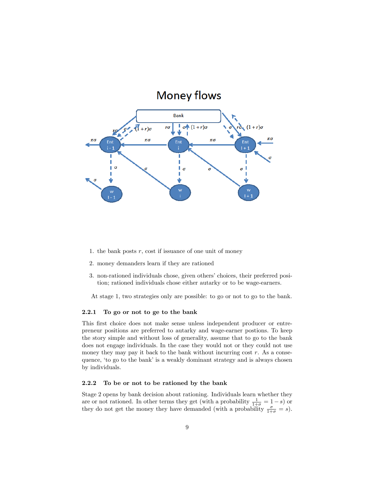

- 1. the bank posts  $r$ , cost if issuance of one unit of money
- 2. money demanders learn if they are rationed
- 3. non-rationed individuals chose, given others' choices, their preferred position; rationed individuals chose either autarky or to be wage-earners.

At stage 1, two strategies only are possible: to go or not to go to the bank.

#### 2.2.1 To go or not to ge to the bank

This first choice does not make sense unless independent producer or entrepreneur positions are preferred to autarky and wage-earner postions. To keep the story simple and without loss of generality, assume that to go to the bank does not engage individuals. In the case they would not or they could not use money they may pay it back to the bank without incurring cost  $r$ . As a consequence, 'to go to the bank' is a weakly dominant strategy and is always chosen by individuals.

#### 2.2.2 To be or not to be rationed by the bank

Stage 2 opens by bank decision about rationing. Individuals learn whether they are or not rationed. In other terms they get (with a probability  $\frac{1}{1+\sigma} = 1-s$ ) or they do not get the money they have demanded (with a probability  $\frac{\sigma}{1+\sigma} = s$ ).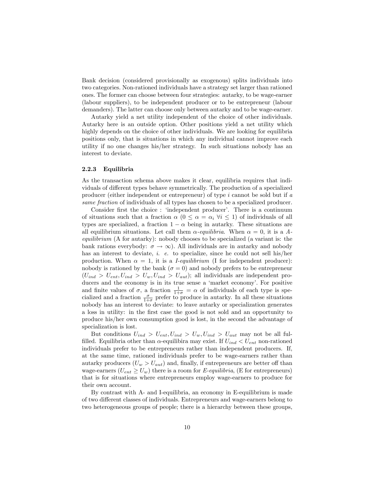Bank decision (considered provisionally as exogenous) splits individuals into two categories. Non-rationed individuals have a strategy set larger than rationed ones. The former can choose between four strategies: autarky, to be wage-earner (labour suppliers), to be independent producer or to be entrepreneur (labour demanders). The latter can choose only between autarky and to be wage-earner.

Autarky yield a net utility independent of the choice of other individuals. Autarky here is an outside option. Other positions yield a net utility which highly depends on the choice of other individuals. We are looking for equilibria positions only, that is situations in which any individual cannot improve each utility if no one changes his/her strategy. In such situations nobody has an interest to deviate.

#### 2.2.3 Equilibria

As the transaction schema above makes it clear, equilibria requires that individuals of different types behave symmetrically. The production of a specialized producer (either independent or entrepreneur) of type  $i$  cannot be sold but if  $a$ same fraction of individuals of all types has chosen to be a specialized producer.

Consider first the choice : 'independent producer'. There is a continuum of situations such that a fraction  $\alpha$  ( $0 \leq \alpha = \alpha_i \ \forall i \leq 1$ ) of individuals of all types are specialized, a fraction  $1 - \alpha$  being in autarky. These situations are all equilibrium situations. Let call them  $\alpha$ -equilibria. When  $\alpha = 0$ , it is a Aequilibrium (A for autarky): nobody chooses to be specialized (a variant is: the bank rations everybody:  $\sigma \to \infty$ ). All individuals are in autarky and nobody has an interest to deviate, *i. e.* to specialize, since he could not sell his/her production. When  $\alpha = 1$ , it is a *I-equilibrium* (I for independent producer): nobody is rationed by the bank  $(\sigma = 0)$  and nobody prefers to be entrepreneur  $(U_{ind} > U_{ent}, U_{ind} > U_w, U_{ind} > U_{aut})$ ; all individuals are independent producers and the economy is in its true sense a 'market economy'. For positive and finite values of  $\sigma$ , a fraction  $\frac{1}{1+\sigma} = \alpha$  of individuals of each type is specialized and a fraction  $\frac{\sigma}{1+\sigma}$  prefer to produce in autarky. In all these situations nobody has an interest to deviate: to leave autarky or specialization generates a loss in utility: in the Örst case the good is not sold and an opportunity to produce his/her own consumption good is lost, in the second the advantage of specialization is lost.

But conditions  $U_{ind} > U_{ent}$ ,  $U_{ind} > U_{w}$ ,  $U_{ind} > U_{aut}$  may not be all fulfilled. Equilibria other than  $\alpha$ -equilibira may exist. If  $U_{ind} < U_{ent}$  non-rationed individuals prefer to be entrepreneurs rather than independent producers. If, at the same time, rationed individuals prefer to be wage-earners rather than autarky producers  $(U_w > U_{aut})$  and, finally, if entrepreneurs are better off than wage-earners  $(U_{ent} \geq U_w)$  there is a room for E-equilibria, (E for entrepreneurs) that is for situations where entrepreneurs employ wage-earners to produce for their own account.

By contrast with A- and I-equilibria, an economy in E-equilibrium is made of two different classes of individuals. Entrepreneurs and wage-earners belong to two heterogeneous groups of people; there is a hierarchy between these groups,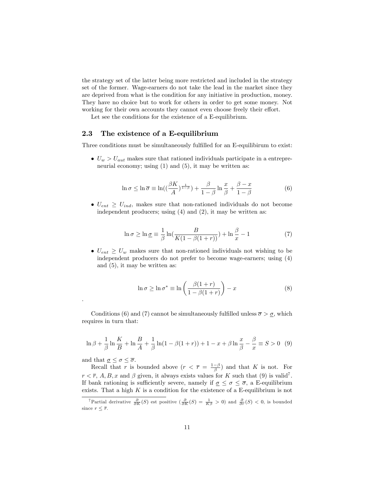the strategy set of the latter being more restricted and included in the strategy set of the former. Wage-earners do not take the lead in the market since they are deprived from what is the condition for any initiative in production, money. They have no choice but to work for others in order to get some money. Not working for their own accounts they cannot even choose freely their effort.

Let see the conditions for the existence of a E-equilibrium.

#### 2.3 The existence of a E-equilibrium

Three conditions must be simultaneously fulfilled for an E-equilibirum to exist:

 $U_w > U_{aut}$  makes sure that rationed individuals participate in a entrepreneurial economy; using  $(1)$  and  $(5)$ , it may be written as:

$$
\ln \sigma \leq \ln \overline{\sigma} \equiv \ln\left(\left(\frac{\beta K}{A}\right)^{\frac{1}{1-\beta}}\right) + \frac{\beta}{1-\beta} \ln \frac{x}{\beta} + \frac{\beta - x}{1-\beta}
$$
(6)

 $\bullet$   $U_{ent} \geq U_{ind}$ , makes sure that non-rationed individuals do not become independent producers; using (4) and (2), it may be written as:

$$
\ln \sigma \ge \ln \underline{\sigma} \equiv \frac{1}{\beta} \ln \left( \frac{B}{K(1 - \beta(1+r))} \right) + \ln \frac{\beta}{x} - 1 \tag{7}
$$

 $\bullet$   $U_{ent} \geq U_w$  makes sure that non-rationed individuals not wishing to be independent producers do not prefer to become wage-earners; using (4) and (5), it may be written as:

$$
\ln \sigma \ge \ln \sigma^* \equiv \ln \left( \frac{\beta(1+r)}{1-\beta(1+r)} \right) - x \tag{8}
$$

Conditions (6) and (7) cannot be simultaneously fulfilled unless  $\bar{\sigma} > \underline{\sigma}$ , which requires in turn that:

$$
\ln \beta + \frac{1}{\beta} \ln \frac{K}{B} + \ln \frac{B}{A} + \frac{1}{\beta} \ln(1 - \beta(1+r)) + 1 - x + \beta \ln \frac{x}{\beta} - \frac{\beta}{x} \equiv S > 0 \quad (9)
$$

and that  $\underline{\sigma}\leq\sigma\leq\overline{\sigma}.$ 

.

Recall that r is bounded above  $(r < \overline{r} = \frac{1-\beta}{\beta})$  and that K is not. For  $r < \overline{r}$ , A, B, x and  $\beta$  given, it always exists values for K such that (9) is valid<sup>7</sup>. If bank rationing is sufficiently severe, namely if  $\sigma \leq \sigma \leq \overline{\sigma}$ , a E-equilibrium exists. That a high  $K$  is a condition for the existence of a E-equilibrium is not

<sup>&</sup>lt;sup>7</sup>Partial derivative  $\frac{\partial}{\partial K}(S)$  est positive  $\left(\frac{\partial}{\partial K}(S) = \frac{1}{K\beta} > 0\right)$  and  $\frac{\partial}{\partial r}(S) < 0$ , is bounded since  $r < \overline{r}$ .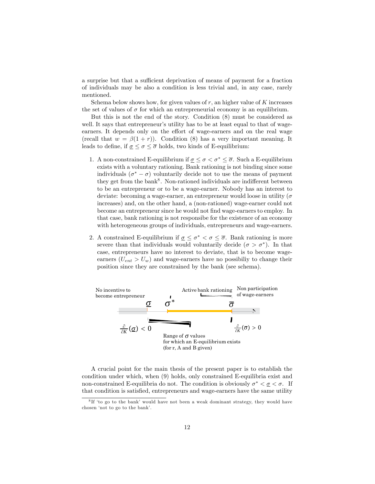a surprise but that a sufficient deprivation of means of payment for a fraction of individuals may be also a condition is less trivial and, in any case, rarely mentioned.

Schema below shows how, for given values of  $r$ , an higher value of  $K$  increases the set of values of  $\sigma$  for which an entrepreneurial economy is an equilibrium.

But this is not the end of the story. Condition (8) must be considered as well. It says that entrepreneur's utility has to be at least equal to that of wageearners. It depends only on the effort of wage-earners and on the real wage (recall that  $w = \beta(1 + r)$ ). Condition (8) has a very important meaning. It leads to define, if  $\sigma \leq \sigma \leq \overline{\sigma}$  holds, two kinds of E-equilibrium:

- 1. A non-constrained E-equilibrium if  $\sigma \leq \sigma < \sigma^* \leq \overline{\sigma}$ . Such a E-equilibrium exists with a voluntary rationing. Bank rationing is not binding since some individuals  $(\sigma^* - \sigma)$  voluntarily decide not to use the means of payment they get from the bank<sup>8</sup>. Non-rationed individuals are indifferent between to be an entrepreneur or to be a wage-earner. Nobody has an interest to deviate: becoming a wage-earner, an entrepreneur would loose in utility ( $\sigma$ ) increases) and, on the other hand, a (non-rationed) wage-earner could not become an entrepreneur since he would not find wage-earners to employ. In that case, bank rationing is not responsibe for the existence of an economy with heterogeneous groups of individuals, entrepreneurs and wage-earners.
- 2. A constrained E-equilibrium if  $\sigma \leq \sigma^* < \sigma \leq \overline{\sigma}$ . Bank rationing is more severe than that individuals would voluntarily decide  $(\sigma > \sigma^*)$ . In that case, entrepreneurs have no interest to deviate, that is to become wageearners  $(U_{ent} > U_w)$  and wage-earners have no possibility to change their position since they are constrained by the bank (see schema).



A crucial point for the main thesis of the present paper is to establish the condition under which, when (9) holds, only constrained E-equilibria exist and non-constrained E-equilibria do not. The condition is obviously  $\sigma^* < \underline{\sigma} < \sigma$ . If that condition is satisfied, entrepreneurs and wage-earners have the same utility

<sup>&</sup>lt;sup>8</sup>If 'to go to the bank' would have not been a weak dominant strategy, they would have chosen 'not to go to the bank'.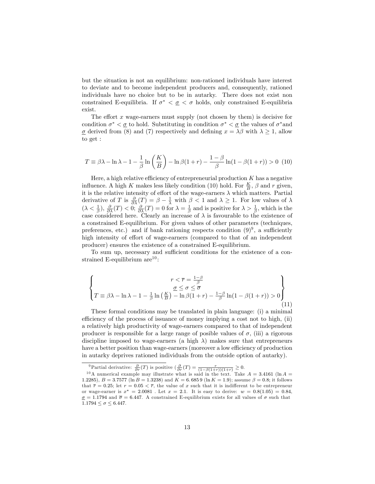but the situation is not an equilibrium: non-rationed individuals have interest to deviate and to become independent producers and, consequently, rationed individuals have no choice but to be in autarky. There does not exist non constrained E-equilibria. If  $\sigma^* < \underline{\sigma} < \sigma$  holds, only constrained E-equilibria exist.

The effort x wage-earners must supply (not chosen by them) is decisive for condition  $\sigma^* < \underline{\sigma}$  to hold. Substituting in condition  $\sigma^* < \underline{\sigma}$  the values of  $\sigma^*$  and  $\sigma$  derived from (8) and (7) respectively and defining  $x = \lambda \beta$  with  $\lambda \ge 1$ , allow to get :

$$
T \equiv \beta \lambda - \ln \lambda - 1 - \frac{1}{\beta} \ln \left( \frac{K}{B} \right) - \ln \beta (1+r) - \frac{1-\beta}{\beta} \ln(1-\beta(1+r)) > 0 \tag{10}
$$

Here, a high relative efficiency of entrepreneurial production  $K$  has a negative influence. A high K makes less likely condition (10) hold. For  $\frac{K}{B}$ ,  $\beta$  and r given, it is the relative intensity of effort of the wage-earners  $\lambda$  which matters. Partial derivative of T is  $\frac{\partial}{\partial \lambda}(T) = \beta - \frac{1}{\lambda}$  with  $\beta < 1$  and  $\lambda \geq 1$ . For low values of  $\lambda$  $(\lambda < \frac{1}{\beta}), \frac{\partial}{\partial \lambda}(T) < 0; \frac{\partial}{\partial \lambda}(T) = 0$  for  $\lambda = \frac{1}{\beta}$  and is positive for  $\lambda > \frac{1}{\beta}$ , which is the case considered here. Clearly an increase of  $\lambda$  is favourable to the existence of a constrained E-equilibrium. For given values of other parameters (techniques, preferences, etc.) and if bank rationing respects condition  $(9)^9$ , a sufficiently high intensity of effort of wage-earners (compared to that of an independent producer) ensures the existence of a constrained E-equilibrium.

To sum up, necessary and sufficient conditions for the existence of a constrained E-equilibrium  $are^{10}$ :

$$
\begin{cases}\nr < \overline{r} = \frac{1-\beta}{\beta} \\
\frac{\sigma \le \sigma \le \overline{\sigma}}{\lambda - \ln \lambda - 1 - \frac{1}{\beta} \ln \left(\frac{K}{B}\right) - \ln \beta (1+r) - \frac{1-\beta}{\beta} \ln(1-\beta(1+r)) > 0\end{cases}
$$
\n(11)

These formal conditions may be translated in plain language: (i) a minimal efficiency of the process of issuance of money implying a cost not to high, (ii) a relatively high productivity of wage-earners compared to that of independent producer is responsible for a large range of posible values of  $\sigma$ , (iii) a rigorous discipline imposed to wage-earners (a high  $\lambda$ ) makes sure that entrepreneurs have a better position than wage-earners (moreover a low efficiency of production in autarky deprives rationed individuals from the outside option of autarky).

<sup>&</sup>lt;sup>9</sup>Partial derivative:  $\frac{\partial}{\partial r}(T)$  is positive  $\left(\frac{\partial}{\partial r}(T) = \frac{r}{(1-\beta(1+r))(1+r)} \geq 0.$ 

<sup>&</sup>lt;sup>10</sup>A numerical example may illustrate what is said in the text. Take  $A = 3.4161$  (ln  $A =$ 1.2285),  $B = 3.7577$  (ln  $B = 1.3238$ ) and  $K = 6.6859$  (ln  $K = 1.9$ ); assume  $\beta = 0.8$ ; it follows that  $\bar{r} = 0.25$ ; let  $r = 0.05 < \bar{r}$ , the value of x such that it is indifferent to be entrepreneur or wage-earner is  $x^* = 2.0081$ . Let  $x = 2.1$ . It is easy to derive:  $w = 0.8(1.05) = 0.84$ ,  $\sigma = 1.1794$  and  $\bar{\sigma} = 6.447$ . A constrained E-equilibrium exists for all values of  $\sigma$  such that  $1.1794 \le \sigma \le 6.447.$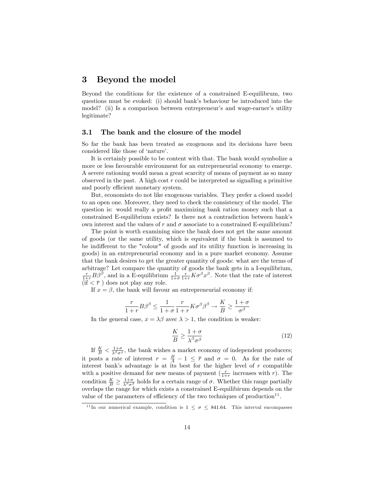### 3 Beyond the model

Beyond the conditions for the existence of a constrained E-equilibrum, two questions must be evoked: (i) should bank's behaviour be introduced into the model? (ii) Is a comparison between entrepreneur's and wage-earner's utility legitimate?

#### 3.1 The bank and the closure of the model

So far the bank has been treated as exogenous and its decisions have been considered like those of 'nature'.

It is certainly possible to be content with that. The bank would symbolize a more or less favourable environment for an entrepreneurial economy to emerge. A severe rationing would mean a great scarcity of means of payment as so many observed in the past. A high cost  $r$  could be interpreted as signalling a primitive and poorly efficient monetary system.

But, economists do not like exogenous variables. They prefer a closed model to an open one. Moreover, they need to check the consistency of the model. The question is: would really a profit maximizing bank ration money such that a constrained E-equilibrium exists? Is there not a contradiction between bankís own interest and the values of r and  $\sigma$  associate to a constrained E-equilibrium?

The point is worth examining since the bank does not get the same amount of goods (or the same utility, which is equivalent if the bank is assumed to be indifferent to the "colour" of goods anf its utility function is increasing in goods) in an entrepreneurial economy and in a pure market economy. Assume that the bank desires to get the greater quantity of goods: what are the terms of arbitrage? Let compare the quantity of goods the bank gets in a I-equilibrium,  $\frac{r}{1+r}B\beta^{\beta}$ , and in a E-equilibrium  $\frac{1}{1+\sigma}\frac{r}{1+r}K\sigma^{\beta}x^{\beta}$ . Note that the rate of interest  $(\mathbf{if} \leq \overline{r})$  does not play any role.

If  $x = \beta$ , the bank will favour an entrepreneurial economy if:

$$
\frac{r}{1+r}B\beta^{\beta} \le \frac{1}{1+\sigma}\frac{r}{1+r}K\sigma^{\beta}\beta^{\beta} \to \frac{K}{B} \ge \frac{1+\sigma}{\sigma^{\beta}}
$$

In the general case,  $x = \lambda \beta$  avec  $\lambda > 1$ , the condition is weaker:

$$
\frac{K}{B} \ge \frac{1+\sigma}{\lambda^{\beta}\sigma^{\beta}}
$$
\n(12)

If  $\frac{K}{B} < \frac{1+\sigma}{\lambda^{\beta}\sigma^{\beta}}$ , the bank wishes a market economy of independent producers; it posts a rate of interest  $r = \frac{B}{A} - 1 \leq \overline{r}$  and  $\sigma = 0$ . As for the rate of interest bank's advantage is at its best for the higher level of  $r$  compatible with a positive demand for new means of payment  $(\frac{r}{1+r})$  increases with r). The condition  $\frac{K}{B} \geq \frac{1+\sigma}{\lambda^{\beta}\sigma^{\beta}}$  holds for a certain range of  $\sigma$ . Whether this range partially overlaps the range for which exists a constrained E-equilibirum depends on the value of the parameters of efficiency of the two techniques of production<sup>11</sup>.

<sup>&</sup>lt;sup>11</sup> In our numerical example, condition is  $1 \leq \sigma \leq 841.64$ . This interval encompasses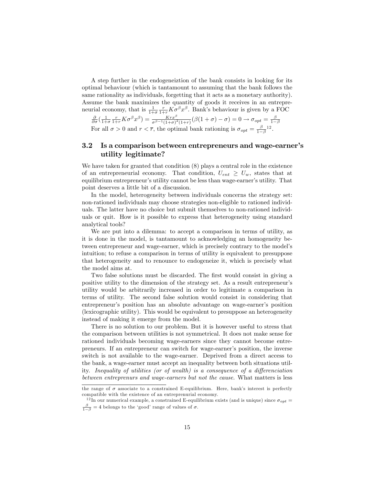A step further in the endogeneiztion of the bank consists in looking for its optimal behaviour (which is tantamount to assuming that the bank follows the same rationality as individuals, forgetting that it acts as a monetary authority). Assume the bank maximizes the quantity of goods it receives in an entrepreneurial economy, that is  $\frac{1}{1+\sigma}\frac{r}{1+r}K\sigma^{\beta}x^{\beta}$ . Bank's behaviour is given by a FOC

$$
\frac{\partial}{\partial \sigma} \left( \frac{1}{1+\sigma} \frac{r}{1+r} K \sigma^{\beta} x^{\beta} \right) = \frac{K r x^{\beta}}{\sigma^{\beta-1} (1+\sigma)^2 (1+r)} (\beta (1+\sigma) - \sigma) = 0 \to \sigma_{opt} = \frac{\beta}{1-\beta}
$$
  
For all  $\sigma > 0$  and  $r < \overline{r}$ , the optimal bank rational is  $\sigma_{opt} = \frac{\beta}{1-\beta} 12$ .

#### 3.2 Is a comparison between entrepreneurs and wage-earner's utility legitimate?

We have taken for granted that condition  $(8)$  plays a central role in the existence of an entrepreneurial economy. That condition,  $U_{ent} \geq U_w$ , states that at equilibrium entrepreneur's utility cannot be less than wage-earner's utility. That point deserves a little bit of a discussion.

In the model, heterogeneity between individuals concerns the strategy set: non-rationed individuals may choose strategies non-eligible to rationed individuals. The latter have no choice but submit themselves to non-rationed individuals or quit. How is it possible to express that heterogeneity using standard analytical tools?

We are put into a dilemma: to accept a comparison in terms of utility, as it is done in the model, is tantamount to acknowledging an homogeneity between entrepreneur and wage-earner, which is precisely contrary to the modelís intuition; to refuse a comparison in terms of utility is equivalent to presuppose that heterogeneity and to renounce to endogeneize it, which is precisely what the model aims at.

Two false solutions must be discarded. The first would consist in giving a positive utility to the dimension of the strategy set. As a result entrepreneur's utility would be arbitrarily increased in order to legitimate a comparison in terms of utility. The second false solution would consist in considering that entrepreneur's position has an absolute advantage on wage-earner's position (lexicographic utility). This would be equivalent to presuppose an heterogeneity instead of making it emerge from the model.

There is no solution to our problem. But it is however useful to stress that the comparison between utilities is not symmetrical. It does not make sense for rationed individuals becoming wage-earners since they cannot become entrepreneurs. If an entrepreneur can switch for wage-earnerís position, the inverse switch is not available to the wage-earner. Deprived from a direct access to the bank, a wage-earner must accept an inequality between both situations utility. Inequality of utilities (or of wealth) is a consequence of a differenciation between entreprenurs and wage-earners but not the cause. What matters is less

the range of  $\sigma$  associate to a constrained E-equilibrium. Here, bank's interest is perfectly compatible with the existence of an entreprenurial economy.

<sup>&</sup>lt;sup>12</sup> In our numerical example, a constrained E-equilibrium exists (and is unique) since  $\sigma_{opt} =$  $\frac{\beta}{1-\beta} = 4$  belongs to the 'good' range of values of  $\sigma$ .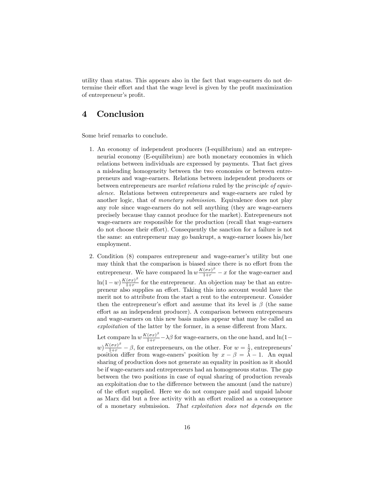utility than status. This appears also in the fact that wage-earners do not determine their effort and that the wage level is given by the profit maximization of entrepreneur's profit.

## 4 Conclusion

Some brief remarks to conclude.

- 1. An economy of independent producers (I-equilibrium) and an entrepreneurial economy (E-equilibrium) are both monetary economies in which relations between individuals are expressed by payments. That fact gives a misleading homogeneity between the two economies or between entrepreneurs and wage-earners. Relations between independent producers or between entrepreneurs are market relations ruled by the principle of equivalence. Relations between entrepreneurs and wage-earners are ruled by another logic, that of *monetary submission*. Equivalence does not play any role since wage-earners do not sell anything (they are wage-earners precisely because thay cannot produce for the market). Entrepreneurs not wage-earners are responsible for the production (recall that wage-earners do not choose their effort). Consequently the sanction for a failure is not the same: an entrepreneur may go bankrupt, a wage-earner looses his/her employment.
- 2. Condition (8) compares entrepreneur and wage-earner's utility but one may think that the comparison is biased since there is no effort from the entrepreneur. We have compared  $\ln w \frac{K(\sigma x)^{\beta}}{1+r} - x$  for the wage-earner and  $\ln(1-w)\frac{K(\sigma x)^{\beta}}{1+r}$  $\frac{(\sigma x)^r}{1+r}$  for the entrepreneur. An objection may be that an entrepreneur also supplies an effort. Taking this into account would have the merit not to attribute from the start a rent to the entrepreneur. Consider then the entrepreneur's effort and assume that its level is  $\beta$  (the same effort as an independent producer). A comparison between entrepreneurs and wage-earners on this new basis makes appear what may be called an  $exploitation$  of the latter by the former, in a sense different from Marx.

Let compare  $\ln w \frac{K(\sigma x)^{\beta}}{1+r} - \lambda \beta$  for wage-earners, on the one hand, and  $\ln(1-\frac{K(\sigma x)^{\beta}}{1+r})$  $w\frac{K(\sigma x)^{\beta}}{1+r} - \beta$ , for entrepreneurs, on the other. For  $w = \frac{1}{2}$ , entrepreneurs' position differ from wage-eaners' position by  $x - \beta = \lambda - 1$ . An equal sharing of production does not generate an equality in position as it should be if wage-earners and entrepreneurs had an homogeneous status. The gap between the two positions in case of equal sharing of production reveals an exploitation due to the difference between the amount (and the nature) of the effort supplied. Here we do not compare paid and unpaid labour as Marx did but a free activity with an effort realized as a consequence of a monetary submission. That exploitation does not depends on the